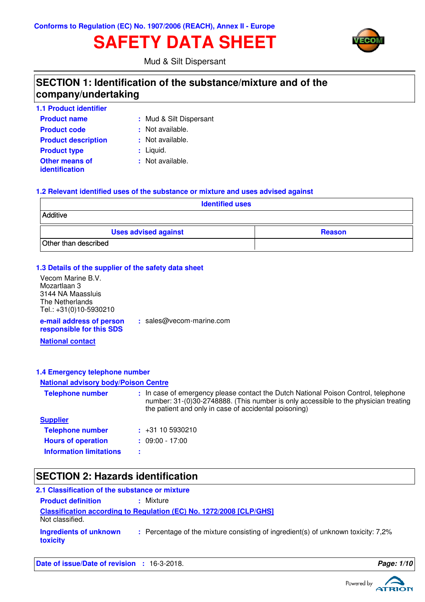# **SAFETY DATA SHEET**



Mud & Silt Dispersant

## **SECTION 1: Identification of the substance/mixture and of the company/undertaking**

| <b>1.1 Product identifier</b>                  |                         |
|------------------------------------------------|-------------------------|
| <b>Product name</b>                            | : Mud & Silt Dispersant |
| <b>Product code</b>                            | : Not available.        |
| <b>Product description</b>                     | : Not available.        |
| <b>Product type</b>                            | : Liquid.               |
| <b>Other means of</b><br><i>identification</i> | : Not available.        |

### **1.2 Relevant identified uses of the substance or mixture and uses advised against**

| <b>Identified uses</b>      |               |
|-----------------------------|---------------|
| Additive                    |               |
| <b>Uses advised against</b> | <b>Reason</b> |
| Other than described        |               |

### **1.3 Details of the supplier of the safety data sheet**

| Vecom Marine B.V.                                    |                          |
|------------------------------------------------------|--------------------------|
| Mozartlaan 3                                         |                          |
| 3144 NA Maassluis                                    |                          |
| The Netherlands                                      |                          |
| Tel.: +31(0)10-5930210                               |                          |
| e-mail address of person<br>responsible for this SDS | : sales@vecom-marine.com |

**National contact**

### **1.4 Emergency telephone number**

### **National advisory body/Poison Centre**

| <b>Telephone number</b>        | : In case of emergency please contact the Dutch National Poison Control, telephone<br>number: 31-(0)30-2748888. (This number is only accessible to the physician treating<br>the patient and only in case of accidental poisoning) |
|--------------------------------|------------------------------------------------------------------------------------------------------------------------------------------------------------------------------------------------------------------------------------|
| <b>Supplier</b>                |                                                                                                                                                                                                                                    |
| <b>Telephone number</b>        | $\div$ +31 10 5930210                                                                                                                                                                                                              |
| <b>Hours of operation</b>      | $: 09:00 - 17:00$                                                                                                                                                                                                                  |
| <b>Information limitations</b> |                                                                                                                                                                                                                                    |

## **SECTION 2: Hazards identification**

| 2.1 Classification of the substance or mixture |                                                                                   |  |
|------------------------------------------------|-----------------------------------------------------------------------------------|--|
| <b>Product definition</b>                      | : Mixture                                                                         |  |
| Not classified.                                | <b>Classification according to Regulation (EC) No. 1272/2008 [CLP/GHS]</b>        |  |
| Ingredients of unknown<br>toxicity             | : Percentage of the mixture consisting of ingredient(s) of unknown toxicity: 7,2% |  |

**Date of issue/Date of revision :** 16-3-2018. **Page: 1/10**

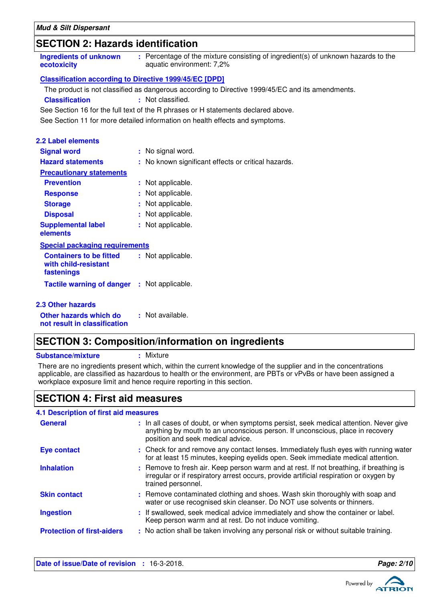## **SECTION 2: Hazards identification**

| : Percentage of the mixture consisting of ingredient(s) of unknown hazards to the<br>Ingredients of unknown<br>aquatic environment: 7,2%<br>ecotoxicity |  |
|---------------------------------------------------------------------------------------------------------------------------------------------------------|--|
|---------------------------------------------------------------------------------------------------------------------------------------------------------|--|

### **Classification according to Directive 1999/45/EC [DPD]**

The product is not classified as dangerous according to Directive 1999/45/EC and its amendments.

**Classification :** Not classified.

See Section 16 for the full text of the R phrases or H statements declared above.

See Section 11 for more detailed information on health effects and symptoms.

| <b>2.2 Label elements</b>                                            |                                                     |
|----------------------------------------------------------------------|-----------------------------------------------------|
| <b>Signal word</b>                                                   | : No signal word.                                   |
| <b>Hazard statements</b>                                             | : No known significant effects or critical hazards. |
| <b>Precautionary statements</b>                                      |                                                     |
| <b>Prevention</b>                                                    | : Not applicable.                                   |
| <b>Response</b>                                                      | : Not applicable.                                   |
| <b>Storage</b>                                                       | : Not applicable.                                   |
| <b>Disposal</b>                                                      | : Not applicable.                                   |
| <b>Supplemental label</b><br>elements                                | : Not applicable.                                   |
| <b>Special packaging requirements</b>                                |                                                     |
| <b>Containers to be fitted</b><br>with child-resistant<br>fastenings | : Not applicable.                                   |
| <b>Tactile warning of danger</b>                                     | : Not applicable.                                   |
| 2.3 Other hazards                                                    |                                                     |
| Other hazards which do                                               | : Not available.                                    |

## **SECTION 3: Composition/information on ingredients**

**Substance/mixture :** Mixture

**not result in classification**

There are no ingredients present which, within the current knowledge of the supplier and in the concentrations applicable, are classified as hazardous to health or the environment, are PBTs or vPvBs or have been assigned a workplace exposure limit and hence require reporting in this section.

## **SECTION 4: First aid measures**

### If swallowed, seek medical advice immediately and show the container or label. Keep person warm and at rest. Do not induce vomiting. Check for and remove any contact lenses. Immediately flush eyes with running water **:** for at least 15 minutes, keeping eyelids open. Seek immediate medical attention. Remove contaminated clothing and shoes. Wash skin thoroughly with soap and **:** water or use recognised skin cleanser. Do NOT use solvents or thinners. Remove to fresh air. Keep person warm and at rest. If not breathing, if breathing is **:** irregular or if respiratory arrest occurs, provide artificial respiration or oxygen by trained personnel. General **In all cases of doubt, or when symptoms persist**, seek medical attention. Never give anything by mouth to an unconscious person. If unconscious, place in recovery position and seek medical advice. **Skin contact 4.1 Description of first aid measures Ingestion Inhalation Eye contact : Protection of first-aiders** : No action shall be taken involving any personal risk or without suitable training.

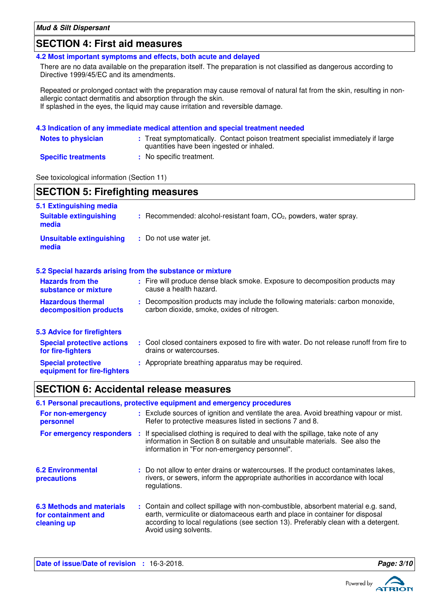## **SECTION 4: First aid measures**

**4.2 Most important symptoms and effects, both acute and delayed**

There are no data available on the preparation itself. The preparation is not classified as dangerous according to Directive 1999/45/EC and its amendments.

Repeated or prolonged contact with the preparation may cause removal of natural fat from the skin, resulting in nonallergic contact dermatitis and absorption through the skin. If splashed in the eyes, the liquid may cause irritation and reversible damage.

### **4.3 Indication of any immediate medical attention and special treatment needed**

| <b>Notes to physician</b>  | : Treat symptomatically. Contact poison treatment specialist immediately if large<br>quantities have been ingested or inhaled. |
|----------------------------|--------------------------------------------------------------------------------------------------------------------------------|
| <b>Specific treatments</b> | : No specific treatment.                                                                                                       |

See toxicological information (Section 11)

**Special protective**

**equipment for fire-fighters**

| <b>SECTION 5: Firefighting measures</b>                                               |                                                                                                                              |  |
|---------------------------------------------------------------------------------------|------------------------------------------------------------------------------------------------------------------------------|--|
| 5.1 Extinguishing media<br><b>Suitable extinguishing</b><br>media                     | $:$ Recommended: alcohol-resistant foam, $CO2$ , powders, water spray.                                                       |  |
| <b>Unsuitable extinguishing</b><br>media                                              | : Do not use water jet.                                                                                                      |  |
|                                                                                       | 5.2 Special hazards arising from the substance or mixture                                                                    |  |
| <b>Hazards from the</b><br>substance or mixture                                       | : Fire will produce dense black smoke. Exposure to decomposition products may<br>cause a health hazard.                      |  |
| <b>Hazardous thermal</b><br>decomposition products                                    | : Decomposition products may include the following materials: carbon monoxide,<br>carbon dioxide, smoke, oxides of nitrogen. |  |
| 5.3 Advice for firefighters<br><b>Special protective actions</b><br>for fire-fighters | : Cool closed containers exposed to fire with water. Do not release runoff from fire to<br>drains or watercourses.           |  |

## **SECTION 6: Accidental release measures**

## **6.1 Personal precautions, protective equipment and emergency procedures**

| For non-emergency<br>personnel                                         | : Exclude sources of ignition and ventilate the area. Avoid breathing vapour or mist.<br>Refer to protective measures listed in sections 7 and 8.                                                                                                                                  |
|------------------------------------------------------------------------|------------------------------------------------------------------------------------------------------------------------------------------------------------------------------------------------------------------------------------------------------------------------------------|
| For emergency responders                                               | : If specialised clothing is required to deal with the spillage, take note of any<br>information in Section 8 on suitable and unsuitable materials. See also the<br>information in "For non-emergency personnel".                                                                  |
| <b>6.2 Environmental</b><br>precautions                                | : Do not allow to enter drains or watercourses. If the product contaminates lakes,<br>rivers, or sewers, inform the appropriate authorities in accordance with local<br>regulations.                                                                                               |
| <b>6.3 Methods and materials</b><br>for containment and<br>cleaning up | : Contain and collect spillage with non-combustible, absorbent material e.g. sand,<br>earth, vermiculite or diatomaceous earth and place in container for disposal<br>according to local regulations (see section 13). Preferably clean with a detergent.<br>Avoid using solvents. |

**:** Appropriate breathing apparatus may be required.

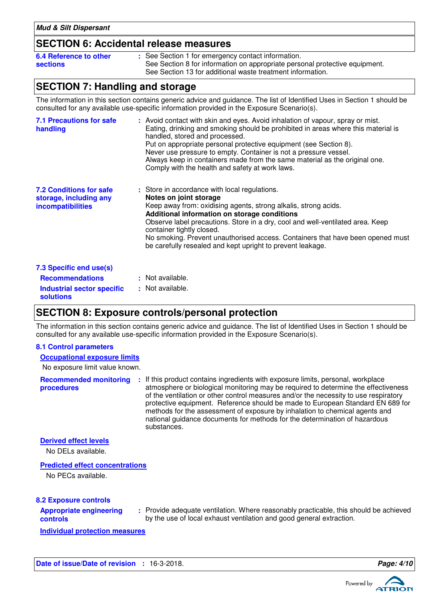## **SECTION 6: Accidental release measures**

| 6.4 Reference to other | : See Section 1 for emergency contact information.                          |
|------------------------|-----------------------------------------------------------------------------|
| sections               | See Section 8 for information on appropriate personal protective equipment. |
|                        | See Section 13 for additional waste treatment information.                  |

## **SECTION 7: Handling and storage**

The information in this section contains generic advice and guidance. The list of Identified Uses in Section 1 should be consulted for any available use-specific information provided in the Exposure Scenario(s).

| <b>7.1 Precautions for safe</b><br>handling                                          | : Avoid contact with skin and eyes. Avoid inhalation of vapour, spray or mist.<br>Eating, drinking and smoking should be prohibited in areas where this material is<br>handled, stored and processed.<br>Put on appropriate personal protective equipment (see Section 8).<br>Never use pressure to empty. Container is not a pressure vessel.<br>Always keep in containers made from the same material as the original one.<br>Comply with the health and safety at work laws. |
|--------------------------------------------------------------------------------------|---------------------------------------------------------------------------------------------------------------------------------------------------------------------------------------------------------------------------------------------------------------------------------------------------------------------------------------------------------------------------------------------------------------------------------------------------------------------------------|
| <b>7.2 Conditions for safe</b><br>storage, including any<br><i>incompatibilities</i> | : Store in accordance with local regulations.<br>Notes on joint storage<br>Keep away from: oxidising agents, strong alkalis, strong acids.<br>Additional information on storage conditions<br>Observe label precautions. Store in a dry, cool and well-ventilated area. Keep<br>container tightly closed.<br>No smoking. Prevent unauthorised access. Containers that have been opened must<br>be carefully resealed and kept upright to prevent leakage.                       |
| 7.3 Specific end use(s)                                                              |                                                                                                                                                                                                                                                                                                                                                                                                                                                                                 |
| <b>Recommendations</b>                                                               | : Not available.                                                                                                                                                                                                                                                                                                                                                                                                                                                                |
| Industrial sector specific<br><b>solutions</b>                                       | : Not available.                                                                                                                                                                                                                                                                                                                                                                                                                                                                |

## **SECTION 8: Exposure controls/personal protection**

The information in this section contains generic advice and guidance. The list of Identified Uses in Section 1 should be consulted for any available use-specific information provided in the Exposure Scenario(s).

### **8.1 Control parameters**

### **Occupational exposure limits**

No exposure limit value known.

**Recommended monitoring procedures** If this product contains ingredients with exposure limits, personal, workplace **:** atmosphere or biological monitoring may be required to determine the effectiveness of the ventilation or other control measures and/or the necessity to use respiratory protective equipment. Reference should be made to European Standard EN 689 for methods for the assessment of exposure by inhalation to chemical agents and national guidance documents for methods for the determination of hazardous substances.

### **Derived effect levels**

No DELs available.

### **Predicted effect concentrations**

No PECs available.

### **8.2 Exposure controls**

| <b>Appropriate engineering</b> |  |
|--------------------------------|--|
| controls                       |  |

Provide adequate ventilation. Where reasonably practicable, this should be achieved **:** by the use of local exhaust ventilation and good general extraction.

**Individual protection measures**

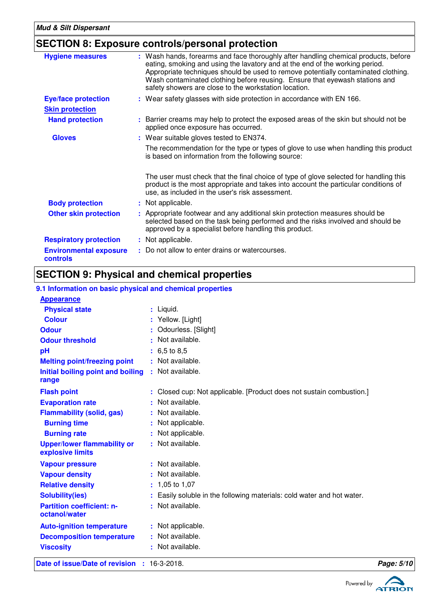## **SECTION 8: Exposure controls/personal protection**

| <b>Hygiene measures</b>                   | : Wash hands, forearms and face thoroughly after handling chemical products, before<br>eating, smoking and using the lavatory and at the end of the working period.<br>Appropriate techniques should be used to remove potentially contaminated clothing.<br>Wash contaminated clothing before reusing. Ensure that eyewash stations and<br>safety showers are close to the workstation location. |  |
|-------------------------------------------|---------------------------------------------------------------------------------------------------------------------------------------------------------------------------------------------------------------------------------------------------------------------------------------------------------------------------------------------------------------------------------------------------|--|
| <b>Eye/face protection</b>                | : Wear safety glasses with side protection in accordance with EN 166.                                                                                                                                                                                                                                                                                                                             |  |
| <b>Skin protection</b>                    |                                                                                                                                                                                                                                                                                                                                                                                                   |  |
| <b>Hand protection</b>                    | : Barrier creams may help to protect the exposed areas of the skin but should not be<br>applied once exposure has occurred.                                                                                                                                                                                                                                                                       |  |
| <b>Gloves</b>                             | : Wear suitable gloves tested to EN374.                                                                                                                                                                                                                                                                                                                                                           |  |
|                                           | The recommendation for the type or types of glove to use when handling this product<br>is based on information from the following source:                                                                                                                                                                                                                                                         |  |
|                                           | The user must check that the final choice of type of glove selected for handling this<br>product is the most appropriate and takes into account the particular conditions of<br>use, as included in the user's risk assessment.                                                                                                                                                                   |  |
| <b>Body protection</b>                    | : Not applicable.                                                                                                                                                                                                                                                                                                                                                                                 |  |
| <b>Other skin protection</b>              | : Appropriate footwear and any additional skin protection measures should be<br>selected based on the task being performed and the risks involved and should be<br>approved by a specialist before handling this product.                                                                                                                                                                         |  |
| <b>Respiratory protection</b>             | : Not applicable.                                                                                                                                                                                                                                                                                                                                                                                 |  |
| <b>Environmental exposure</b><br>controls | : Do not allow to enter drains or watercourses.                                                                                                                                                                                                                                                                                                                                                   |  |

## **SECTION 9: Physical and chemical properties**

## **9.1 Information on basic physical and chemical properties**

| Date of issue/Date of revision : 16-3-2018.            |                                                                        | Page: 5/10 |
|--------------------------------------------------------|------------------------------------------------------------------------|------------|
| <b>Viscosity</b>                                       | : Not available.                                                       |            |
| <b>Decomposition temperature</b>                       | : Not available.                                                       |            |
| <b>Auto-ignition temperature</b>                       | : Not applicable.                                                      |            |
| octanol/water                                          |                                                                        |            |
| <b>Partition coefficient: n-</b>                       | : Not available.                                                       |            |
| <b>Solubility(ies)</b>                                 | : Easily soluble in the following materials: cold water and hot water. |            |
| <b>Relative density</b>                                | $: 1,05$ to 1,07                                                       |            |
| <b>Vapour density</b>                                  | : Not available.                                                       |            |
| <b>Vapour pressure</b>                                 | : Not available.                                                       |            |
| <b>Upper/lower flammability or</b><br>explosive limits | : Not available.                                                       |            |
| <b>Burning rate</b>                                    | : Not applicable.                                                      |            |
| <b>Burning time</b>                                    | : Not applicable.                                                      |            |
| <b>Flammability (solid, gas)</b>                       | : Not available.                                                       |            |
| <b>Evaporation rate</b>                                | : Not available.                                                       |            |
| <b>Flash point</b>                                     | : Closed cup: Not applicable. [Product does not sustain combustion.]   |            |
| range                                                  |                                                                        |            |
| Initial boiling point and boiling                      | : Not available.                                                       |            |
| <b>Melting point/freezing point</b>                    | : Not available.                                                       |            |
| pH                                                     | $: 6.5 \text{ to } 8.5$                                                |            |
| <b>Odour threshold</b>                                 | : Not available.                                                       |            |
| <b>Odour</b>                                           | : Odourless. [Slight]                                                  |            |
| <b>Colour</b>                                          | : Yellow. [Light]                                                      |            |
| <b>Physical state</b>                                  | : Liquid.                                                              |            |
| <b>Appearance</b>                                      |                                                                        |            |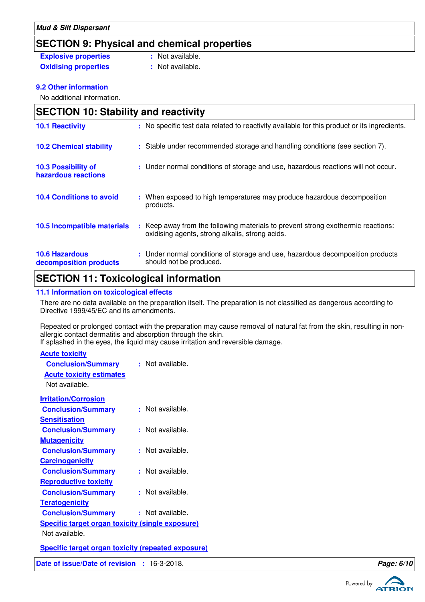## **SECTION 9: Physical and chemical properties**

| <b>Explosive properties</b> | : Not available. |
|-----------------------------|------------------|
| <b>Oxidising properties</b> | : Not available. |

### **9.2 Other information**

No additional information.

| <b>SECTION 10: Stability and reactivity</b>     |                                                                                                                                     |  |  |
|-------------------------------------------------|-------------------------------------------------------------------------------------------------------------------------------------|--|--|
| <b>10.1 Reactivity</b>                          | : No specific test data related to reactivity available for this product or its ingredients.                                        |  |  |
| <b>10.2 Chemical stability</b>                  | : Stable under recommended storage and handling conditions (see section 7).                                                         |  |  |
| 10.3 Possibility of<br>hazardous reactions      | : Under normal conditions of storage and use, hazardous reactions will not occur.                                                   |  |  |
| <b>10.4 Conditions to avoid</b>                 | : When exposed to high temperatures may produce hazardous decomposition<br>products.                                                |  |  |
| 10.5 Incompatible materials                     | : Keep away from the following materials to prevent strong exothermic reactions:<br>oxidising agents, strong alkalis, strong acids. |  |  |
| <b>10.6 Hazardous</b><br>decomposition products | : Under normal conditions of storage and use, hazardous decomposition products<br>should not be produced.                           |  |  |

## **SECTION 11: Toxicological information**

### **11.1 Information on toxicological effects**

There are no data available on the preparation itself. The preparation is not classified as dangerous according to Directive 1999/45/EC and its amendments.

Repeated or prolonged contact with the preparation may cause removal of natural fat from the skin, resulting in nonallergic contact dermatitis and absorption through the skin.

If splashed in the eyes, the liquid may cause irritation and reversible damage.

| <b>Acute toxicity</b>                                     |                  |
|-----------------------------------------------------------|------------------|
| <b>Conclusion/Summary</b>                                 | : Not available. |
| <b>Acute toxicity estimates</b>                           |                  |
| Not available.                                            |                  |
| <b>Irritation/Corrosion</b>                               |                  |
| <b>Conclusion/Summary</b>                                 | : Not available. |
| <b>Sensitisation</b>                                      |                  |
| <b>Conclusion/Summary</b>                                 | : Not available. |
| <b>Mutagenicity</b>                                       |                  |
| <b>Conclusion/Summary</b>                                 | : Not available. |
| <b>Carcinogenicity</b>                                    |                  |
| <b>Conclusion/Summary</b>                                 | : Not available. |
| <b>Reproductive toxicity</b>                              |                  |
| <b>Conclusion/Summary</b>                                 | : Not available. |
| <b>Teratogenicity</b>                                     |                  |
| <b>Conclusion/Summary</b>                                 | : Not available. |
| <b>Specific target organ toxicity (single exposure)</b>   |                  |
| Not available.                                            |                  |
| <b>Specific target organ toxicity (repeated exposure)</b> |                  |

**Date of issue/Date of revision : 16-3-2018. Page: 6/10 Page: 6/10** 

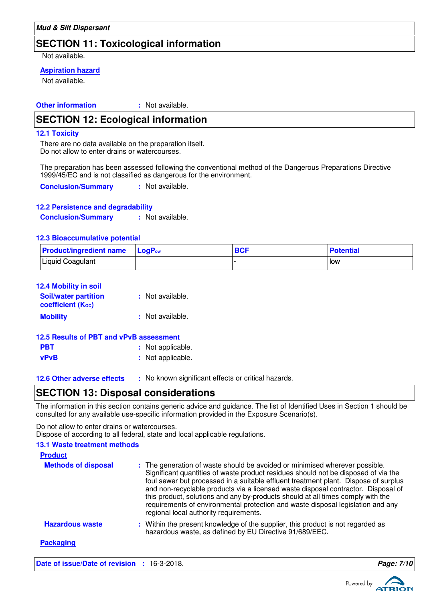## **SECTION 11: Toxicological information**

Not available.

### **Aspiration hazard**

Not available.

**Other information :** : Not available.

## **SECTION 12: Ecological information**

### **12.1 Toxicity**

There are no data available on the preparation itself. Do not allow to enter drains or watercourses.

The preparation has been assessed following the conventional method of the Dangerous Preparations Directive 1999/45/EC and is not classified as dangerous for the environment.

**Conclusion/Summary :** Not available.

### **12.2 Persistence and degradability**

**Conclusion/Summary :** Not available.

### **12.3 Bioaccumulative potential**

| <b>Product/ingredient name</b> LogP <sub>ow</sub> | <b>BCF</b> | Potential |
|---------------------------------------------------|------------|-----------|
| Liquid Coagulant                                  |            | i Iow     |

| 12.4 Mobility in soil                            |                  |
|--------------------------------------------------|------------------|
| <b>Soil/water partition</b><br>coefficient (Koc) | : Not available. |
| <b>Mobility</b>                                  | : Not available. |

| 12.5 Results of PBT and vPvB assessment |                   |  |  |
|-----------------------------------------|-------------------|--|--|
| <b>PBT</b>                              | : Not applicable. |  |  |
| vPvB                                    | : Not applicable. |  |  |

**12.6 Other adverse effects** : No known significant effects or critical hazards.

## **SECTION 13: Disposal considerations**

The information in this section contains generic advice and guidance. The list of Identified Uses in Section 1 should be consulted for any available use-specific information provided in the Exposure Scenario(s).

Do not allow to enter drains or watercourses. Dispose of according to all federal, state and local applicable regulations.

### **13.1 Waste treatment methods**

| <b>Product</b>             |                                                                                                                                                                                                                                                                                                                                                                                                                                                                                                                                                               |
|----------------------------|---------------------------------------------------------------------------------------------------------------------------------------------------------------------------------------------------------------------------------------------------------------------------------------------------------------------------------------------------------------------------------------------------------------------------------------------------------------------------------------------------------------------------------------------------------------|
| <b>Methods of disposal</b> | : The generation of waste should be avoided or minimised wherever possible.<br>Significant quantities of waste product residues should not be disposed of via the<br>foul sewer but processed in a suitable effluent treatment plant. Dispose of surplus<br>and non-recyclable products via a licensed waste disposal contractor. Disposal of<br>this product, solutions and any by-products should at all times comply with the<br>requirements of environmental protection and waste disposal legislation and any<br>regional local authority requirements. |
| <b>Hazardous waste</b>     | : Within the present knowledge of the supplier, this product is not regarded as<br>hazardous waste, as defined by EU Directive 91/689/EEC.                                                                                                                                                                                                                                                                                                                                                                                                                    |
| <b>Packaging</b>           |                                                                                                                                                                                                                                                                                                                                                                                                                                                                                                                                                               |

**Date of issue/Date of revision : 16-3-2018. Page:** 7.100. **Page:** 7.100. **Page:** 7.100. **Page:** 7.100. **Page:** 7.100. **Page:** 7.100. **Page:** 7.100. **Page:** 7.100. **Page:** 7.100. **Page:** 7.100. **Page:** 7.100. **Page:** 7.1



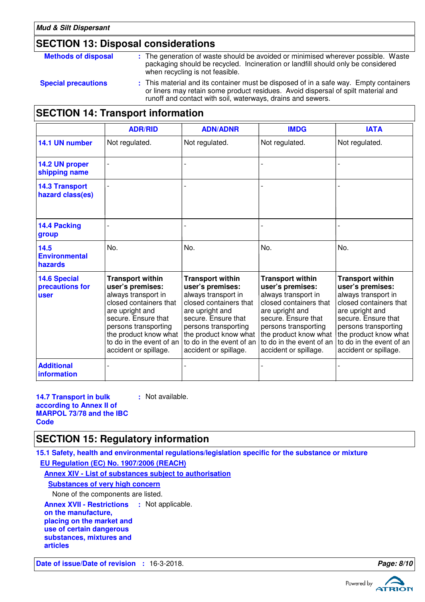## **SECTION 13: Disposal considerations**

| <b>Methods of disposal</b> | : The generation of waste should be avoided or minimised wherever possible. Waste<br>packaging should be recycled. Incineration or landfill should only be considered<br>when recycling is not feasible.                                  |
|----------------------------|-------------------------------------------------------------------------------------------------------------------------------------------------------------------------------------------------------------------------------------------|
| <b>Special precautions</b> | : This material and its container must be disposed of in a safe way. Empty containers<br>or liners may retain some product residues. Avoid dispersal of spilt material and<br>runoff and contact with soil, waterways, drains and sewers. |

## **SECTION 14: Transport information**

|                                                       | <b>ADR/RID</b>                                                                                                                                                                                                                               | <b>ADN/ADNR</b>                                                                                                                                                                                                                              | <b>IMDG</b>                                                                                                                                                                                                                                  | <b>IATA</b>                                                                                                                                                                                                                                  |
|-------------------------------------------------------|----------------------------------------------------------------------------------------------------------------------------------------------------------------------------------------------------------------------------------------------|----------------------------------------------------------------------------------------------------------------------------------------------------------------------------------------------------------------------------------------------|----------------------------------------------------------------------------------------------------------------------------------------------------------------------------------------------------------------------------------------------|----------------------------------------------------------------------------------------------------------------------------------------------------------------------------------------------------------------------------------------------|
| 14.1 UN number                                        | Not regulated.                                                                                                                                                                                                                               | Not regulated.                                                                                                                                                                                                                               | Not regulated.                                                                                                                                                                                                                               | Not regulated.                                                                                                                                                                                                                               |
| 14.2 UN proper<br>shipping name                       |                                                                                                                                                                                                                                              |                                                                                                                                                                                                                                              |                                                                                                                                                                                                                                              |                                                                                                                                                                                                                                              |
| <b>14.3 Transport</b><br>hazard class(es)             |                                                                                                                                                                                                                                              |                                                                                                                                                                                                                                              |                                                                                                                                                                                                                                              |                                                                                                                                                                                                                                              |
| 14.4 Packing<br>group                                 |                                                                                                                                                                                                                                              |                                                                                                                                                                                                                                              |                                                                                                                                                                                                                                              |                                                                                                                                                                                                                                              |
| 14.5<br><b>Environmental</b><br>hazards               | No.                                                                                                                                                                                                                                          | No.                                                                                                                                                                                                                                          | No.                                                                                                                                                                                                                                          | No.                                                                                                                                                                                                                                          |
| <b>14.6 Special</b><br>precautions for<br><b>user</b> | <b>Transport within</b><br>user's premises:<br>always transport in<br>closed containers that<br>are upright and<br>secure. Ensure that<br>persons transporting<br>the product know what<br>to do in the event of an<br>accident or spillage. | <b>Transport within</b><br>user's premises:<br>always transport in<br>closed containers that<br>are upright and<br>secure. Ensure that<br>persons transporting<br>the product know what<br>to do in the event of an<br>accident or spillage. | <b>Transport within</b><br>user's premises:<br>always transport in<br>closed containers that<br>are upright and<br>secure. Ensure that<br>persons transporting<br>the product know what<br>to do in the event of an<br>accident or spillage. | <b>Transport within</b><br>user's premises:<br>always transport in<br>closed containers that<br>are upright and<br>secure. Ensure that<br>persons transporting<br>the product know what<br>to do in the event of an<br>accident or spillage. |
| <b>Additional</b><br>information                      |                                                                                                                                                                                                                                              |                                                                                                                                                                                                                                              |                                                                                                                                                                                                                                              |                                                                                                                                                                                                                                              |

**14.7 Transport in bulk according to Annex II of MARPOL 73/78 and the IBC Code :** Not available.

## **SECTION 15: Regulatory information**

**15.1 Safety, health and environmental regulations/legislation specific for the substance or mixture EU Regulation (EC) No. 1907/2006 (REACH)**

**Annex XIV - List of substances subject to authorisation**

**Substances of very high concern**

None of the components are listed.

**Annex XVII - Restrictions : Not applicable.** 

**on the manufacture, placing on the market and**

**use of certain dangerous**

**substances, mixtures and**

**articles**

**Date of issue/Date of revision :** 16-3-2018. **Page: 8/10**

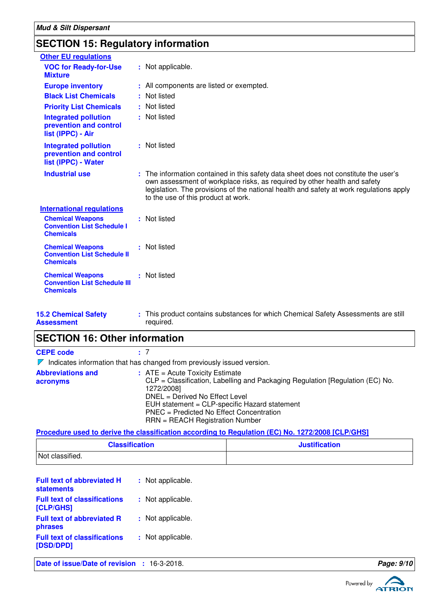## **SECTION 15: Regulatory information**

| <b>Other EU regulations</b>                                                        |                                                                                                                                                                                                                                                                                                     |
|------------------------------------------------------------------------------------|-----------------------------------------------------------------------------------------------------------------------------------------------------------------------------------------------------------------------------------------------------------------------------------------------------|
| <b>VOC for Ready-for-Use</b><br><b>Mixture</b>                                     | : Not applicable.                                                                                                                                                                                                                                                                                   |
| <b>Europe inventory</b>                                                            | : All components are listed or exempted.                                                                                                                                                                                                                                                            |
| <b>Black List Chemicals</b>                                                        | : Not listed                                                                                                                                                                                                                                                                                        |
| <b>Priority List Chemicals</b>                                                     | : Not listed                                                                                                                                                                                                                                                                                        |
| <b>Integrated pollution</b><br>prevention and control<br>list (IPPC) - Air         | : Not listed                                                                                                                                                                                                                                                                                        |
| <b>Integrated pollution</b><br>prevention and control<br>list (IPPC) - Water       | : Not listed                                                                                                                                                                                                                                                                                        |
| <b>Industrial use</b>                                                              | : The information contained in this safety data sheet does not constitute the user's<br>own assessment of workplace risks, as required by other health and safety<br>legislation. The provisions of the national health and safety at work regulations apply<br>to the use of this product at work. |
| <b>International regulations</b>                                                   |                                                                                                                                                                                                                                                                                                     |
| <b>Chemical Weapons</b><br><b>Convention List Schedule I</b><br><b>Chemicals</b>   | : Not listed                                                                                                                                                                                                                                                                                        |
| <b>Chemical Weapons</b><br><b>Convention List Schedule II</b><br><b>Chemicals</b>  | : Not listed                                                                                                                                                                                                                                                                                        |
| <b>Chemical Weapons</b><br><b>Convention List Schedule III</b><br><b>Chemicals</b> | : Not listed                                                                                                                                                                                                                                                                                        |
| <b>15.2 Chemical Safety</b><br>Assessment                                          | This product contains substances for which Chemical Safety Assessments are still<br>required.                                                                                                                                                                                                       |

## **SECTION 16: Other information**

**CEPE code :** 7

 $\nabla$  Indicates information that has changed from previously issued version.

| <b>Abbreviations and</b> | $:$ ATE = Acute Toxicity Estimate                                             |
|--------------------------|-------------------------------------------------------------------------------|
| acronyms                 | CLP = Classification, Labelling and Packaging Regulation [Regulation (EC) No. |
|                          | 1272/2008]                                                                    |
|                          | DNEL = Derived No Effect Level                                                |
|                          | EUH statement = CLP-specific Hazard statement                                 |
|                          | PNEC = Predicted No Effect Concentration                                      |
|                          | $RRN = REACH$ Registration Number                                             |

**Procedure used to derive the classification according to Regulation (EC) No. 1272/2008 [CLP/GHS]**

| <b>Classification</b> | <b>Justification</b> |
|-----------------------|----------------------|
| Not classified.       |                      |

| <b>Full text of abbreviated H</b><br><b>statements</b> | : Not applicable. |
|--------------------------------------------------------|-------------------|
| <b>Full text of classifications</b><br>[CLP/GHS]       | : Not applicable. |
| <b>Full text of abbreviated R</b><br>phrases           | : Not applicable. |
| <b>Full text of classifications</b><br>[DSD/DPD]       | : Not applicable. |
|                                                        |                   |

**Date of issue/Date of revision : 16-3-2018. Page: 9/10 Page: 9/10**